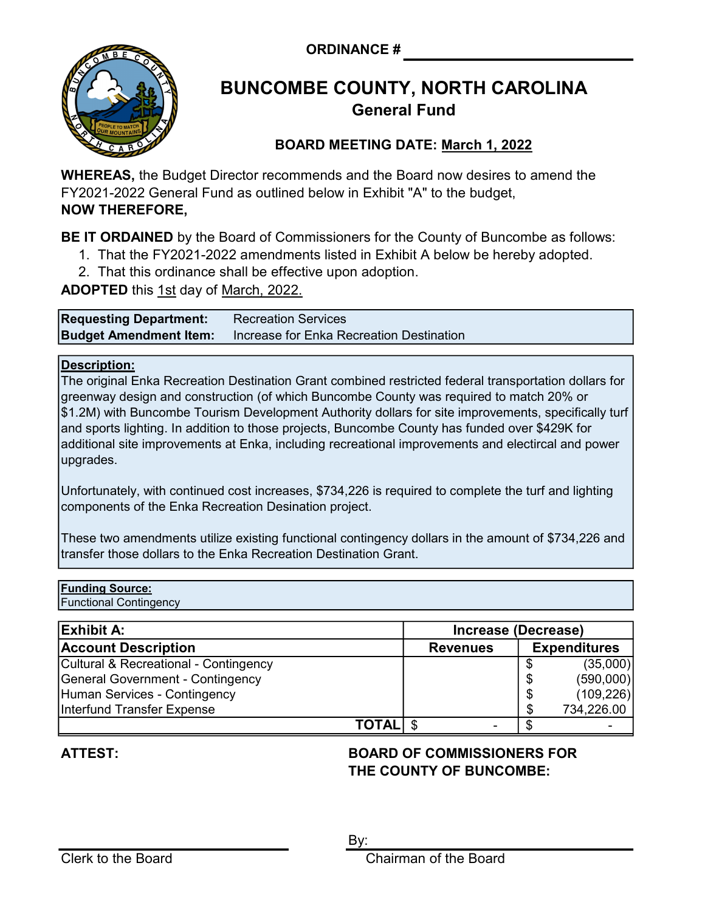ORDINANCE #



# BUNCOMBE COUNTY, NORTH CAROLINA General Fund

## BOARD MEETING DATE: March 1, 2022

WHEREAS, the Budget Director recommends and the Board now desires to amend the FY2021-2022 General Fund as outlined below in Exhibit "A" to the budget, NOW THEREFORE,

**BE IT ORDAINED** by the Board of Commissioners for the County of Buncombe as follows:

- 1. That the FY2021-2022 amendments listed in Exhibit A below be hereby adopted.
- 2. That this ordinance shall be effective upon adoption.

**ADOPTED** this 1st day of March, 2022.

**Budget Amendment Item:** Increase for Enka Recreation Destination Requesting Department: Recreation Services

### Description:

The original Enka Recreation Destination Grant combined restricted federal transportation dollars for greenway design and construction (of which Buncombe County was required to match 20% or \$1.2M) with Buncombe Tourism Development Authority dollars for site improvements, specifically turf and sports lighting. In addition to those projects, Buncombe County has funded over \$429K for additional site improvements at Enka, including recreational improvements and electircal and power upgrades.

Unfortunately, with continued cost increases, \$734,226 is required to complete the turf and lighting components of the Enka Recreation Desination project.

These two amendments utilize existing functional contingency dollars in the amount of \$734,226 and transfer those dollars to the Enka Recreation Destination Grant.

### Funding Source:

Functional Contingency

| <b>Exhibit A:</b>                       | Increase (Decrease)      |                     |            |
|-----------------------------------------|--------------------------|---------------------|------------|
| <b>Account Description</b>              | <b>Revenues</b>          | <b>Expenditures</b> |            |
| Cultural & Recreational - Contingency   |                          |                     | (35,000)   |
| <b>General Government - Contingency</b> |                          |                     | (590,000)  |
| Human Services - Contingency            |                          | Œ                   | (109, 226) |
| Interfund Transfer Expense              |                          |                     | 734,226.00 |
| TOTAL                                   | $\overline{\phantom{0}}$ |                     |            |

## ATTEST:

### BOARD OF COMMISSIONERS FOR THE COUNTY OF BUNCOMBE: